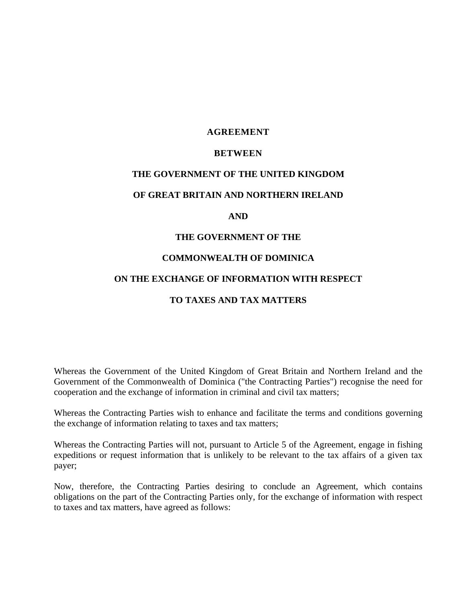# **AGREEMENT**

## **BETWEEN**

#### **THE GOVERNMENT OF THE UNITED KINGDOM**

#### **OF GREAT BRITAIN AND NORTHERN IRELAND**

#### **AND**

#### **THE GOVERNMENT OF THE**

#### **COMMONWEALTH OF DOMINICA**

## **ON THE EXCHANGE OF INFORMATION WITH RESPECT**

# **TO TAXES AND TAX MATTERS**

Whereas the Government of the United Kingdom of Great Britain and Northern Ireland and the Government of the Commonwealth of Dominica ("the Contracting Parties") recognise the need for cooperation and the exchange of information in criminal and civil tax matters;

Whereas the Contracting Parties wish to enhance and facilitate the terms and conditions governing the exchange of information relating to taxes and tax matters;

Whereas the Contracting Parties will not, pursuant to Article 5 of the Agreement, engage in fishing expeditions or request information that is unlikely to be relevant to the tax affairs of a given tax payer;

Now, therefore, the Contracting Parties desiring to conclude an Agreement, which contains obligations on the part of the Contracting Parties only, for the exchange of information with respect to taxes and tax matters, have agreed as follows: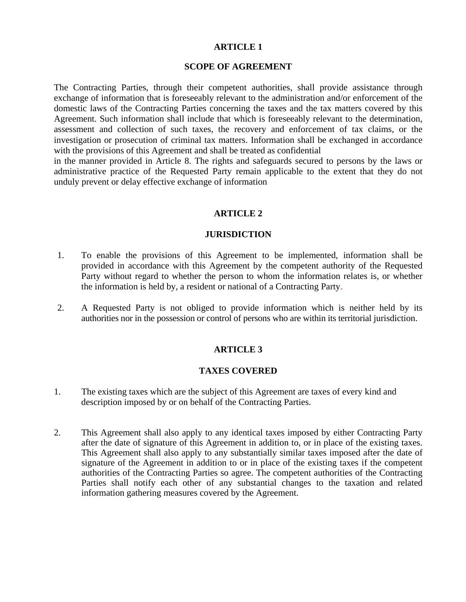#### **SCOPE OF AGREEMENT**

The Contracting Parties, through their competent authorities, shall provide assistance through exchange of information that is foreseeably relevant to the administration and/or enforcement of the domestic laws of the Contracting Parties concerning the taxes and the tax matters covered by this Agreement. Such information shall include that which is foreseeably relevant to the determination, assessment and collection of such taxes, the recovery and enforcement of tax claims, or the investigation or prosecution of criminal tax matters. Information shall be exchanged in accordance with the provisions of this Agreement and shall be treated as confidential

in the manner provided in Article 8. The rights and safeguards secured to persons by the laws or administrative practice of the Requested Party remain applicable to the extent that they do not unduly prevent or delay effective exchange of information

# **ARTICLE 2**

#### **JURISDICTION**

- 1. To enable the provisions of this Agreement to be implemented, information shall be provided in accordance with this Agreement by the competent authority of the Requested Party without regard to whether the person to whom the information relates is, or whether the information is held by, a resident or national of a Contracting Party.
- 2. A Requested Party is not obliged to provide information which is neither held by its authorities nor in the possession or control of persons who are within its territorial jurisdiction.

# **ARTICLE 3**

#### **TAXES COVERED**

- 1. The existing taxes which are the subject of this Agreement are taxes of every kind and description imposed by or on behalf of the Contracting Parties.
- 2. This Agreement shall also apply to any identical taxes imposed by either Contracting Party after the date of signature of this Agreement in addition to, or in place of the existing taxes. This Agreement shall also apply to any substantially similar taxes imposed after the date of signature of the Agreement in addition to or in place of the existing taxes if the competent authorities of the Contracting Parties so agree. The competent authorities of the Contracting Parties shall notify each other of any substantial changes to the taxation and related information gathering measures covered by the Agreement.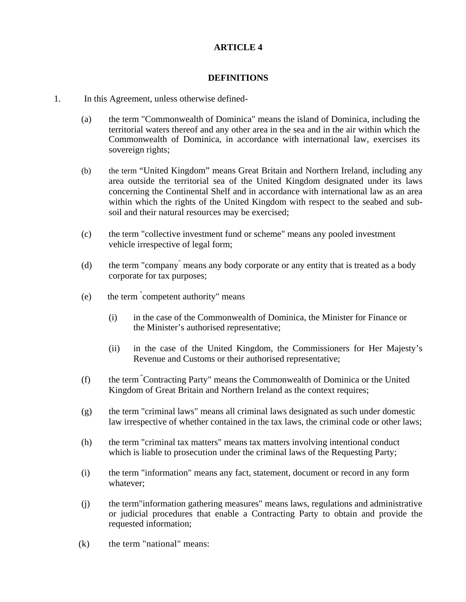# **DEFINITIONS**

- 1. In this Agreement, unless otherwise defined-
	- (a) the term "Commonwealth of Dominica" means the island of Dominica, including the territorial waters thereof and any other area in the sea and in the air within which the Commonwealth of Dominica, in accordance with international law, exercises its sovereign rights;
	- (b) the term "United Kingdom" means Great Britain and Northern Ireland, including any area outside the territorial sea of the United Kingdom designated under its laws concerning the Continental Shelf and in accordance with international law as an area within which the rights of the United Kingdom with respect to the seabed and subsoil and their natural resources may be exercised;
	- (c) the term "collective investment fund or scheme" means any pooled investment vehicle irrespective of legal form;
	- (d) the term "company" means any body corporate or any entity that is treated as a body corporate for tax purposes;
	- (e) the term " competent authority" means
		- (i) in the case of the Commonwealth of Dominica, the Minister for Finance or the Minister's authorised representative;
		- (ii) in the case of the United Kingdom, the Commissioners for Her Majesty's Revenue and Customs or their authorised representative;
	- (f) the term "Contracting Party" means the Commonwealth of Dominica or the United Kingdom of Great Britain and Northern Ireland as the context requires;
	- (g) the term "criminal laws" means all criminal laws designated as such under domestic law irrespective of whether contained in the tax laws, the criminal code or other laws;
	- (h) the term "criminal tax matters" means tax matters involving intentional conduct which is liable to prosecution under the criminal laws of the Requesting Party;
	- (i) the term "information" means any fact, statement, document or record in any form whatever;
	- (j) the term"information gathering measures" means laws, regulations and administrative or judicial procedures that enable a Contracting Party to obtain and provide the requested information;
	- (k) the term "national" means: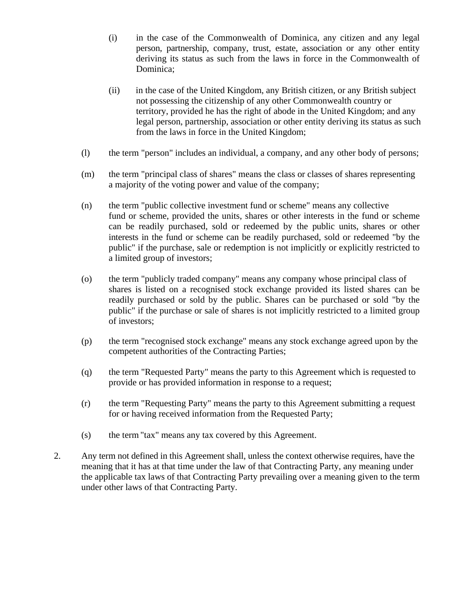- (i) in the case of the Commonwealth of Dominica, any citizen and any legal person, partnership, company, trust, estate, association or any other entity deriving its status as such from the laws in force in the Commonwealth of Dominica;
- (ii) in the case of the United Kingdom, any British citizen, or any British subject not possessing the citizenship of any other Commonwealth country or territory, provided he has the right of abode in the United Kingdom; and any legal person, partnership, association or other entity deriving its status as such from the laws in force in the United Kingdom;
- (l) the term "person" includes an individual, a company, and any other body of persons;
- (m) the term "principal class of shares" means the class or classes of shares representing a majority of the voting power and value of the company;
- (n) the term "public collective investment fund or scheme" means any collective fund or scheme, provided the units, shares or other interests in the fund or scheme can be readily purchased, sold or redeemed by the public units, shares or other interests in the fund or scheme can be readily purchased, sold or redeemed "by the public" if the purchase, sale or redemption is not implicitly or explicitly restricted to a limited group of investors;
- (o) the term "publicly traded company" means any company whose principal class of shares is listed on a recognised stock exchange provided its listed shares can be readily purchased or sold by the public. Shares can be purchased or sold "by the public" if the purchase or sale of shares is not implicitly restricted to a limited group of investors;
- (p) the term "recognised stock exchange" means any stock exchange agreed upon by the competent authorities of the Contracting Parties;
- (q) the term "Requested Party" means the party to this Agreement which is requested to provide or has provided information in response to a request;
- (r) the term "Requesting Party" means the party to this Agreement submitting a request for or having received information from the Requested Party;
- (s) the term"tax" means any tax covered by this Agreement.
- 2. Any term not defined in this Agreement shall, unless the context otherwise requires, have the meaning that it has at that time under the law of that Contracting Party, any meaning under the applicable tax laws of that Contracting Party prevailing over a meaning given to the term under other laws of that Contracting Party.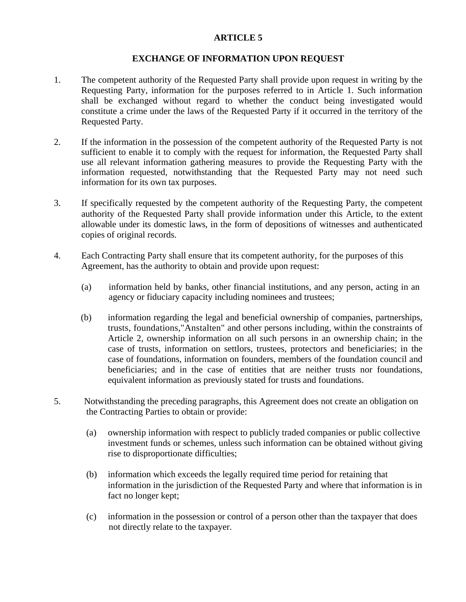# **EXCHANGE OF INFORMATION UPON REQUEST**

- 1. The competent authority of the Requested Party shall provide upon request in writing by the Requesting Party, information for the purposes referred to in Article 1. Such information shall be exchanged without regard to whether the conduct being investigated would constitute a crime under the laws of the Requested Party if it occurred in the territory of the Requested Party.
- 2. If the information in the possession of the competent authority of the Requested Party is not sufficient to enable it to comply with the request for information, the Requested Party shall use all relevant information gathering measures to provide the Requesting Party with the information requested, notwithstanding that the Requested Party may not need such information for its own tax purposes.
- 3. If specifically requested by the competent authority of the Requesting Party, the competent authority of the Requested Party shall provide information under this Article, to the extent allowable under its domestic laws, in the form of depositions of witnesses and authenticated copies of original records.
- 4. Each Contracting Party shall ensure that its competent authority, for the purposes of this Agreement, has the authority to obtain and provide upon request:
	- (a) information held by banks, other financial institutions, and any person, acting in an agency or fiduciary capacity including nominees and trustees;
	- (b) information regarding the legal and beneficial ownership of companies, partnerships, trusts, foundations,"Anstalten" and other persons including, within the constraints of Article 2, ownership information on all such persons in an ownership chain; in the case of trusts, information on settlors, trustees, protectors and beneficiaries; in the case of foundations, information on founders, members of the foundation council and beneficiaries; and in the case of entities that are neither trusts nor foundations, equivalent information as previously stated for trusts and foundations.
- 5. Notwithstanding the preceding paragraphs, this Agreement does not create an obligation on the Contracting Parties to obtain or provide:
	- (a) ownership information with respect to publicly traded companies or public collective investment funds or schemes, unless such information can be obtained without giving rise to disproportionate difficulties;
	- (b) information which exceeds the legally required time period for retaining that information in the jurisdiction of the Requested Party and where that information is in fact no longer kept;
	- (c) information in the possession or control of a person other than the taxpayer that does not directly relate to the taxpayer.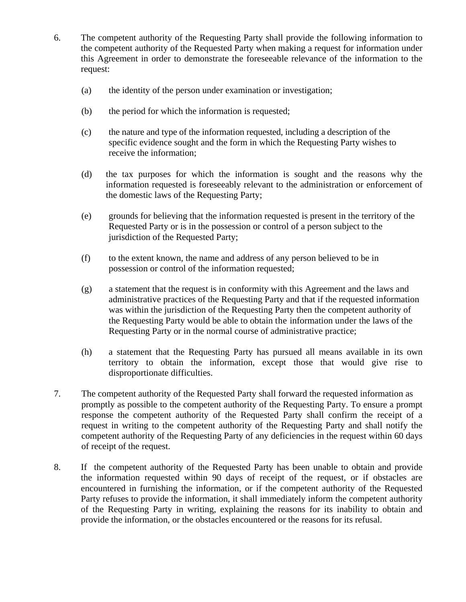- 6. The competent authority of the Requesting Party shall provide the following information to the competent authority of the Requested Party when making a request for information under this Agreement in order to demonstrate the foreseeable relevance of the information to the request:
	- (a) the identity of the person under examination or investigation;
	- (b) the period for which the information is requested;
	- (c) the nature and type of the information requested, including a description of the specific evidence sought and the form in which the Requesting Party wishes to receive the information;
	- (d) the tax purposes for which the information is sought and the reasons why the information requested is foreseeably relevant to the administration or enforcement of the domestic laws of the Requesting Party;
	- (e) grounds for believing that the information requested is present in the territory of the Requested Party or is in the possession or control of a person subject to the jurisdiction of the Requested Party;
	- (f) to the extent known, the name and address of any person believed to be in possession or control of the information requested;
	- (g) a statement that the request is in conformity with this Agreement and the laws and administrative practices of the Requesting Party and that if the requested information was within the jurisdiction of the Requesting Party then the competent authority of the Requesting Party would be able to obtain the information under the laws of the Requesting Party or in the normal course of administrative practice;
	- (h) a statement that the Requesting Party has pursued all means available in its own territory to obtain the information, except those that would give rise to disproportionate difficulties.
- 7. The competent authority of the Requested Party shall forward the requested information as promptly as possible to the competent authority of the Requesting Party. To ensure a prompt response the competent authority of the Requested Party shall confirm the receipt of a request in writing to the competent authority of the Requesting Party and shall notify the competent authority of the Requesting Party of any deficiencies in the request within 60 days of receipt of the request.
- 8. If the competent authority of the Requested Party has been unable to obtain and provide the information requested within 90 days of receipt of the request, or if obstacles are encountered in furnishing the information, or if the competent authority of the Requested Party refuses to provide the information, it shall immediately inform the competent authority of the Requesting Party in writing, explaining the reasons for its inability to obtain and provide the information, or the obstacles encountered or the reasons for its refusal.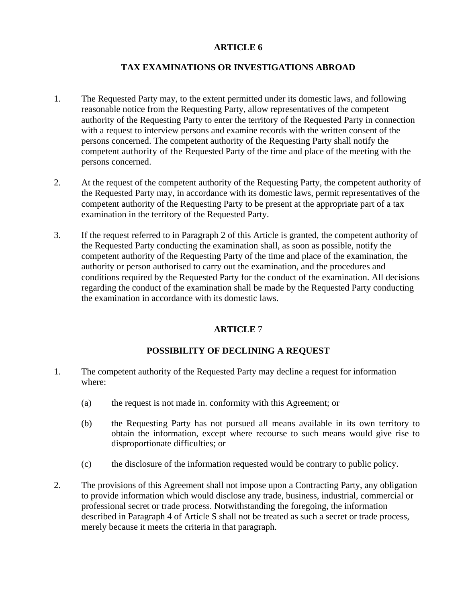# **TAX EXAMINATIONS OR INVESTIGATIONS ABROAD**

- 1. The Requested Party may, to the extent permitted under its domestic laws, and following reasonable notice from the Requesting Party, allow representatives of the competent authority of the Requesting Party to enter the territory of the Requested Party in connection with a request to interview persons and examine records with the written consent of the persons concerned. The competent authority of the Requesting Party shall notify the competent authority of the Requested Party of the time and place of the meeting with the persons concerned.
- 2. At the request of the competent authority of the Requesting Party, the competent authority of the Requested Party may, in accordance with its domestic laws, permit representatives of the competent authority of the Requesting Party to be present at the appropriate part of a tax examination in the territory of the Requested Party.
- 3. If the request referred to in Paragraph 2 of this Article is granted, the competent authority of the Requested Party conducting the examination shall, as soon as possible, notify the competent authority of the Requesting Party of the time and place of the examination, the authority or person authorised to carry out the examination, and the procedures and conditions required by the Requested Party for the conduct of the examination. All decisions regarding the conduct of the examination shall be made by the Requested Party conducting the examination in accordance with its domestic laws.

# **ARTICLE** 7

# **POSSIBILITY OF DECLINING A REQUEST**

- 1. The competent authority of the Requested Party may decline a request for information where:
	- (a) the request is not made in. conformity with this Agreement; or
	- (b) the Requesting Party has not pursued all means available in its own territory to obtain the information, except where recourse to such means would give rise to disproportionate difficulties; or
	- (c) the disclosure of the information requested would be contrary to public policy.
- 2. The provisions of this Agreement shall not impose upon a Contracting Party, any obligation to provide information which would disclose any trade, business, industrial, commercial or professional secret or trade process. Notwithstanding the foregoing, the information described in Paragraph 4 of Article S shall not be treated as such a secret or trade process, merely because it meets the criteria in that paragraph.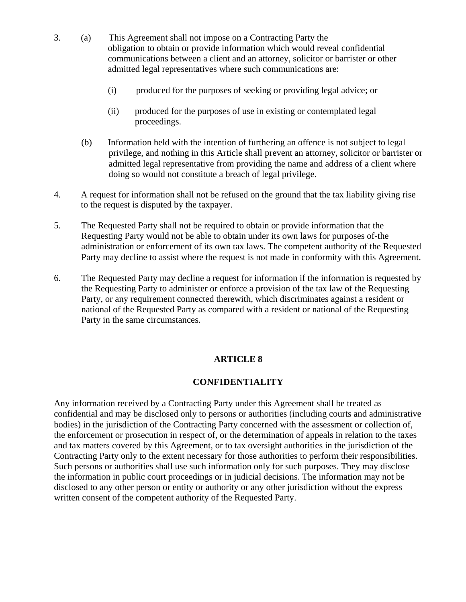- 3. (a) This Agreement shall not impose on a Contracting Party the obligation to obtain or provide information which would reveal confidential communications between a client and an attorney, solicitor or barrister or other admitted legal representatives where such communications are:
	- (i) produced for the purposes of seeking or providing legal advice; or
	- (ii) produced for the purposes of use in existing or contemplated legal proceedings.
	- (b) Information held with the intention of furthering an offence is not subject to legal privilege, and nothing in this Article shall prevent an attorney, solicitor or barrister or admitted legal representative from providing the name and address of a client where doing so would not constitute a breach of legal privilege.
- 4. A request for information shall not be refused on the ground that the tax liability giving rise to the request is disputed by the taxpayer.
- 5. The Requested Party shall not be required to obtain or provide information that the Requesting Party would not be able to obtain under its own laws for purposes of-the administration or enforcement of its own tax laws. The competent authority of the Requested Party may decline to assist where the request is not made in conformity with this Agreement.
- 6. The Requested Party may decline a request for information if the information is requested by the Requesting Party to administer or enforce a provision of the tax law of the Requesting Party, or any requirement connected therewith, which discriminates against a resident or national of the Requested Party as compared with a resident or national of the Requesting Party in the same circumstances.

# **CONFIDENTIALITY**

Any information received by a Contracting Party under this Agreement shall be treated as confidential and may be disclosed only to persons or authorities (including courts and administrative bodies) in the jurisdiction of the Contracting Party concerned with the assessment or collection of, the enforcement or prosecution in respect of, or the determination of appeals in relation to the taxes and tax matters covered by this Agreement, or to tax oversight authorities in the jurisdiction of the Contracting Party only to the extent necessary for those authorities to perform their responsibilities. Such persons or authorities shall use such information only for such purposes. They may disclose the information in public court proceedings or in judicial decisions. The information may not be disclosed to any other person or entity or authority or any other jurisdiction without the express written consent of the competent authority of the Requested Party.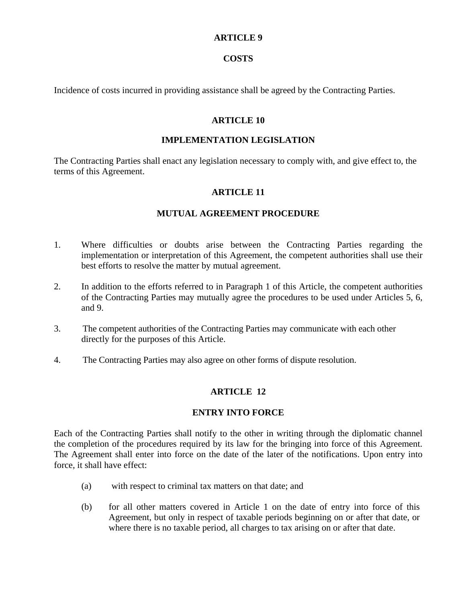## **COSTS**

Incidence of costs incurred in providing assistance shall be agreed by the Contracting Parties.

#### **ARTICLE 10**

## **IMPLEMENTATION LEGISLATION**

The Contracting Parties shall enact any legislation necessary to comply with, and give effect to, the terms of this Agreement.

# **ARTICLE 11**

# **MUTUAL AGREEMENT PROCEDURE**

- 1. Where difficulties or doubts arise between the Contracting Parties regarding the implementation or interpretation of this Agreement, the competent authorities shall use their best efforts to resolve the matter by mutual agreement.
- 2. In addition to the efforts referred to in Paragraph 1 of this Article, the competent authorities of the Contracting Parties may mutually agree the procedures to be used under Articles 5, 6, and 9.
- 3. The competent authorities of the Contracting Parties may communicate with each other directly for the purposes of this Article.
- 4. The Contracting Parties may also agree on other forms of dispute resolution.

# **ARTICLE 12**

# **ENTRY INTO FORCE**

Each of the Contracting Parties shall notify to the other in writing through the diplomatic channel the completion of the procedures required by its law for the bringing into force of this Agreement. The Agreement shall enter into force on the date of the later of the notifications. Upon entry into force, it shall have effect:

- (a) with respect to criminal tax matters on that date; and
- (b) for all other matters covered in Article 1 on the date of entry into force of this Agreement, but only in respect of taxable periods beginning on or after that date, or where there is no taxable period, all charges to tax arising on or after that date.